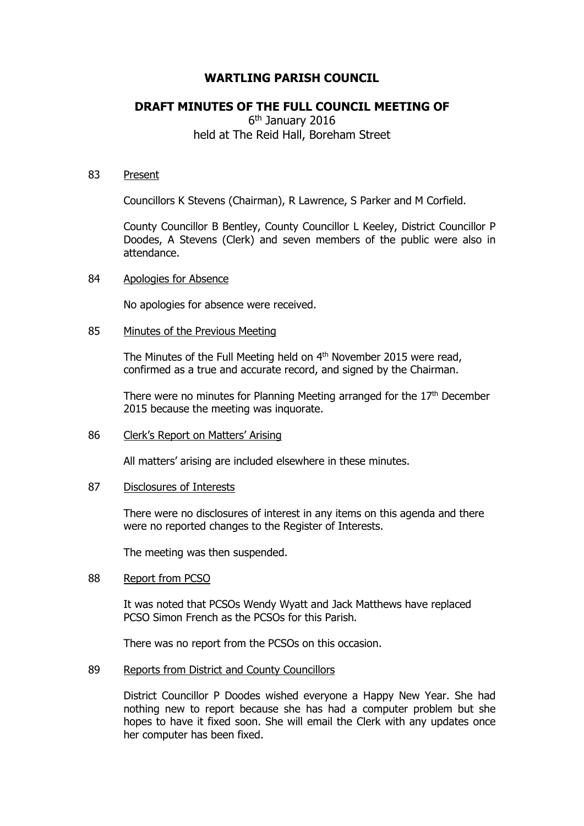# **WARTLING PARISH COUNCIL**

# **DRAFT MINUTES OF THE FULL COUNCIL MEETING OF**

6<sup>th</sup> January 2016 held at The Reid Hall, Boreham Street

### 83 Present

Councillors K Stevens (Chairman), R Lawrence, S Parker and M Corfield.

County Councillor B Bentley, County Councillor L Keeley, District Councillor P Doodes, A Stevens (Clerk) and seven members of the public were also in attendance.

### 84 Apologies for Absence

No apologies for absence were received.

### 85 Minutes of the Previous Meeting

The Minutes of the Full Meeting held on 4<sup>th</sup> November 2015 were read, confirmed as a true and accurate record, and signed by the Chairman.

There were no minutes for Planning Meeting arranged for the 17<sup>th</sup> December 2015 because the meeting was inquorate.

### 86 Clerk's Report on Matters' Arising

All matters' arising are included elsewhere in these minutes.

### 87 Disclosures of Interests

There were no disclosures of interest in any items on this agenda and there were no reported changes to the Register of Interests.

The meeting was then suspended.

### 88 Report from PCSO

It was noted that PCSOs Wendy Wyatt and Jack Matthews have replaced PCSO Simon French as the PCSOs for this Parish.

There was no report from the PCSOs on this occasion.

## 89 Reports from District and County Councillors

District Councillor P Doodes wished everyone a Happy New Year. She had nothing new to report because she has had a computer problem but she hopes to have it fixed soon. She will email the Clerk with any updates once her computer has been fixed.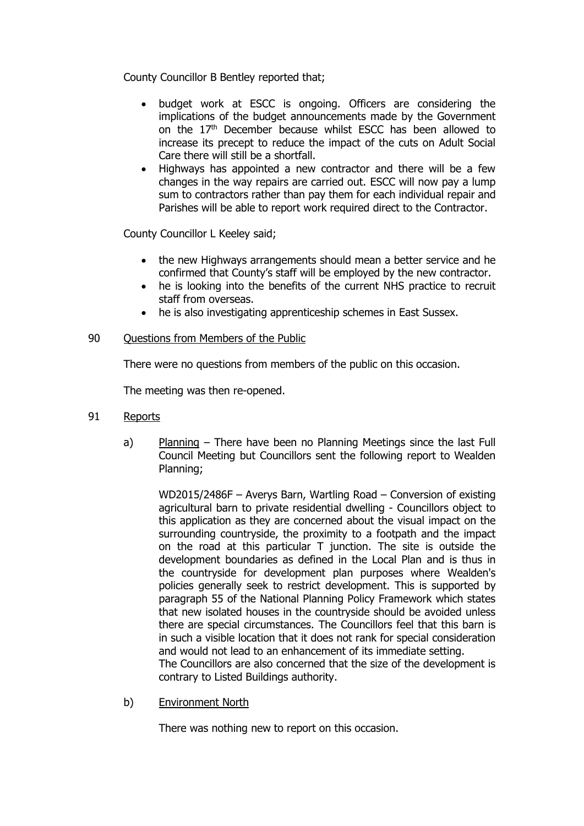County Councillor B Bentley reported that;

- budget work at ESCC is ongoing. Officers are considering the implications of the budget announcements made by the Government on the 17<sup>th</sup> December because whilst ESCC has been allowed to increase its precept to reduce the impact of the cuts on Adult Social Care there will still be a shortfall.
- Highways has appointed a new contractor and there will be a few changes in the way repairs are carried out. ESCC will now pay a lump sum to contractors rather than pay them for each individual repair and Parishes will be able to report work required direct to the Contractor.

County Councillor L Keeley said;

- the new Highways arrangements should mean a better service and he confirmed that County's staff will be employed by the new contractor.
- he is looking into the benefits of the current NHS practice to recruit staff from overseas.
- he is also investigating apprenticeship schemes in East Sussex.
- 90 Ouestions from Members of the Public

There were no questions from members of the public on this occasion.

The meeting was then re-opened.

- 91 Reports
	- a) Planning There have been no Planning Meetings since the last Full Council Meeting but Councillors sent the following report to Wealden Planning;

WD2015/2486F – Averys Barn, Wartling Road – Conversion of existing agricultural barn to private residential dwelling - Councillors object to this application as they are concerned about the visual impact on the surrounding countryside, the proximity to a footpath and the impact on the road at this particular T junction. The site is outside the development boundaries as defined in the Local Plan and is thus in the countryside for development plan purposes where Wealden's policies generally seek to restrict development. This is supported by paragraph 55 of the National Planning Policy Framework which states that new isolated houses in the countryside should be avoided unless there are special circumstances. The Councillors feel that this barn is in such a visible location that it does not rank for special consideration and would not lead to an enhancement of its immediate setting. The Councillors are also concerned that the size of the development is contrary to Listed Buildings authority.

b) Environment North

There was nothing new to report on this occasion.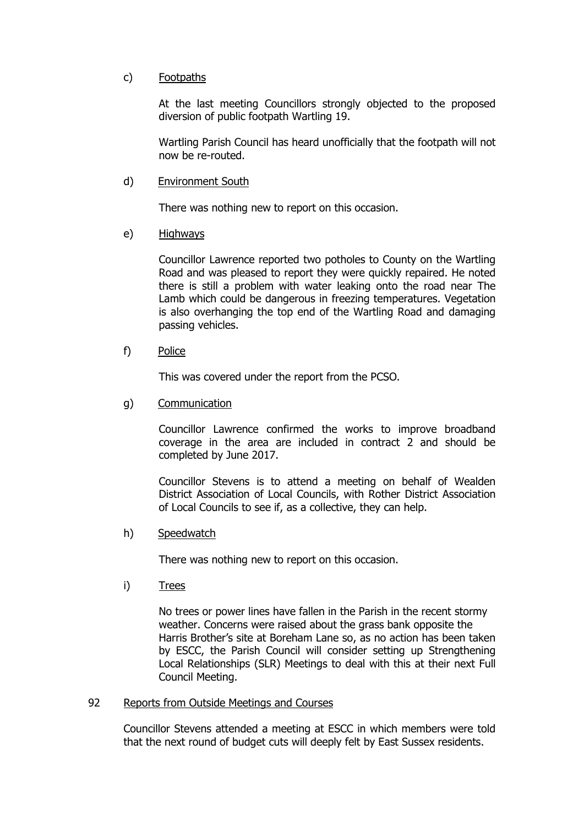# c) Footpaths

At the last meeting Councillors strongly objected to the proposed diversion of public footpath Wartling 19.

Wartling Parish Council has heard unofficially that the footpath will not now be re-routed.

## d) Environment South

There was nothing new to report on this occasion.

### e) Highways

Councillor Lawrence reported two potholes to County on the Wartling Road and was pleased to report they were quickly repaired. He noted there is still a problem with water leaking onto the road near The Lamb which could be dangerous in freezing temperatures. Vegetation is also overhanging the top end of the Wartling Road and damaging passing vehicles.

f) Police

This was covered under the report from the PCSO.

g) Communication

Councillor Lawrence confirmed the works to improve broadband coverage in the area are included in contract 2 and should be completed by June 2017.

Councillor Stevens is to attend a meeting on behalf of Wealden District Association of Local Councils, with Rother District Association of Local Councils to see if, as a collective, they can help.

h) Speedwatch

There was nothing new to report on this occasion.

i) Trees

No trees or power lines have fallen in the Parish in the recent stormy weather. Concerns were raised about the grass bank opposite the Harris Brother's site at Boreham Lane so, as no action has been taken by ESCC, the Parish Council will consider setting up Strengthening Local Relationships (SLR) Meetings to deal with this at their next Full Council Meeting.

## 92 Reports from Outside Meetings and Courses

Councillor Stevens attended a meeting at ESCC in which members were told that the next round of budget cuts will deeply felt by East Sussex residents.